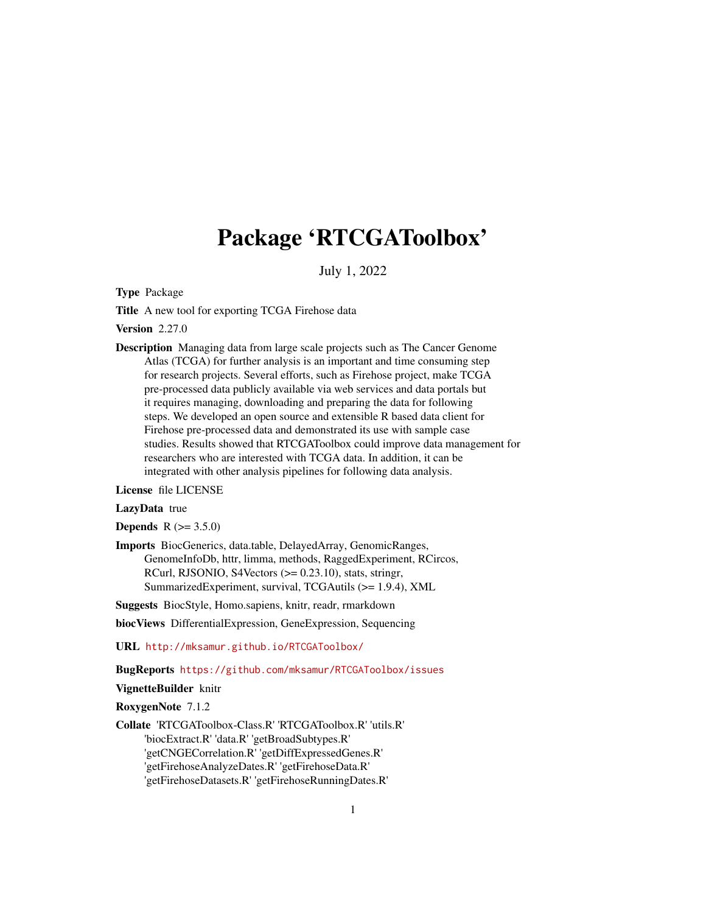# Package 'RTCGAToolbox'

July 1, 2022

<span id="page-0-0"></span>Type Package

Title A new tool for exporting TCGA Firehose data

Version 2.27.0

Description Managing data from large scale projects such as The Cancer Genome Atlas (TCGA) for further analysis is an important and time consuming step for research projects. Several efforts, such as Firehose project, make TCGA pre-processed data publicly available via web services and data portals but it requires managing, downloading and preparing the data for following steps. We developed an open source and extensible R based data client for Firehose pre-processed data and demonstrated its use with sample case studies. Results showed that RTCGAToolbox could improve data management for researchers who are interested with TCGA data. In addition, it can be integrated with other analysis pipelines for following data analysis.

License file LICENSE

#### LazyData true

**Depends**  $R (= 3.5.0)$ 

Imports BiocGenerics, data.table, DelayedArray, GenomicRanges, GenomeInfoDb, httr, limma, methods, RaggedExperiment, RCircos, RCurl, RJSONIO, S4Vectors  $(>= 0.23.10)$ , stats, stringr, SummarizedExperiment, survival, TCGAutils (>= 1.9.4), XML

Suggests BiocStyle, Homo.sapiens, knitr, readr, rmarkdown

biocViews DifferentialExpression, GeneExpression, Sequencing

URL <http://mksamur.github.io/RTCGAToolbox/>

BugReports <https://github.com/mksamur/RTCGAToolbox/issues>

#### VignetteBuilder knitr

RoxygenNote 7.1.2

Collate 'RTCGAToolbox-Class.R' 'RTCGAToolbox.R' 'utils.R' 'biocExtract.R' 'data.R' 'getBroadSubtypes.R' 'getCNGECorrelation.R' 'getDiffExpressedGenes.R' 'getFirehoseAnalyzeDates.R' 'getFirehoseData.R' 'getFirehoseDatasets.R' 'getFirehoseRunningDates.R'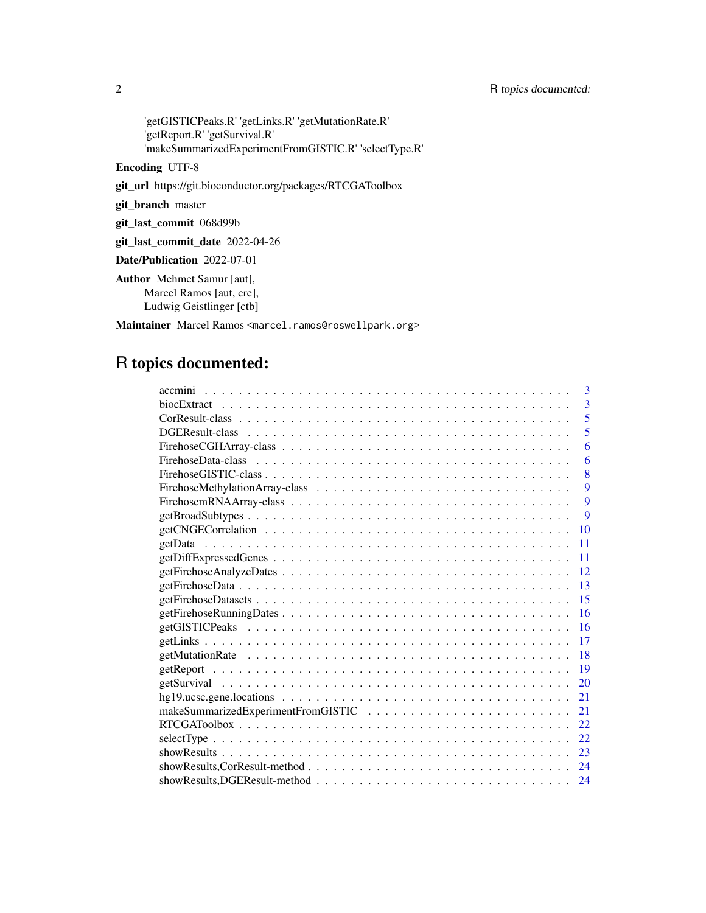'getGISTICPeaks.R' 'getLinks.R' 'getMutationRate.R' 'getReport.R' 'getSurvival.R' 'makeSummarizedExperimentFromGISTIC.R' 'selectType.R'

Encoding UTF-8

git\_url https://git.bioconductor.org/packages/RTCGAToolbox

git\_branch master

git\_last\_commit 068d99b

git\_last\_commit\_date 2022-04-26

Date/Publication 2022-07-01

Author Mehmet Samur [aut], Marcel Ramos [aut, cre], Ludwig Geistlinger [ctb]

Maintainer Marcel Ramos <marcel.ramos@roswellpark.org>

# R topics documented:

| 3              |
|----------------|
| $\overline{3}$ |
| 5              |
| 5              |
| 6              |
| 6              |
| 8              |
| 9              |
| 9              |
| $\mathbf{Q}$   |
| 10             |
| 11             |
| 11             |
| 12             |
| 13             |
| 15             |
| 16             |
| 16             |
| 17             |
| 18             |
| 19             |
| 20             |
| 21             |
| 21             |
| 22             |
| 22             |
| 23             |
| 24             |
| 24             |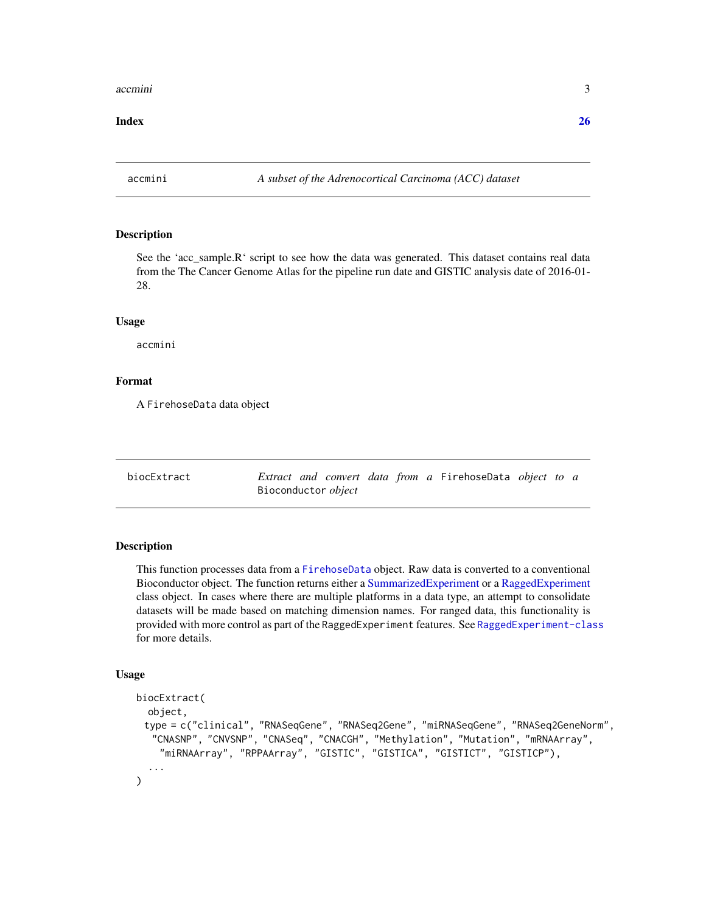#### <span id="page-2-0"></span>accmini 3

#### **Index** [26](#page-25-0)

accmini *A subset of the Adrenocortical Carcinoma (ACC) dataset*

#### Description

See the 'acc\_sample.R' script to see how the data was generated. This dataset contains real data from the The Cancer Genome Atlas for the pipeline run date and GISTIC analysis date of 2016-01- 28.

#### Usage

accmini

#### Format

A FirehoseData data object

biocExtract *Extract and convert data from a* FirehoseData *object to a* Bioconductor *object*

#### **Description**

This function processes data from a [FirehoseData](#page-5-1) object. Raw data is converted to a conventional Bioconductor object. The function returns either a [SummarizedExperiment](#page-0-0) or a [RaggedExperiment](#page-0-0) class object. In cases where there are multiple platforms in a data type, an attempt to consolidate datasets will be made based on matching dimension names. For ranged data, this functionality is provided with more control as part of the RaggedExperiment features. See [RaggedExperiment-class](#page-0-0) for more details.

#### Usage

```
biocExtract(
  object,
 type = c("clinical", "RNASeqGene", "RNASeq2Gene", "miRNASeqGene", "RNASeq2GeneNorm",
  "CNASNP", "CNVSNP", "CNASeq", "CNACGH", "Methylation", "Mutation", "mRNAArray",
    "miRNAArray", "RPPAArray", "GISTIC", "GISTICA", "GISTICT", "GISTICP"),
  ...
)
```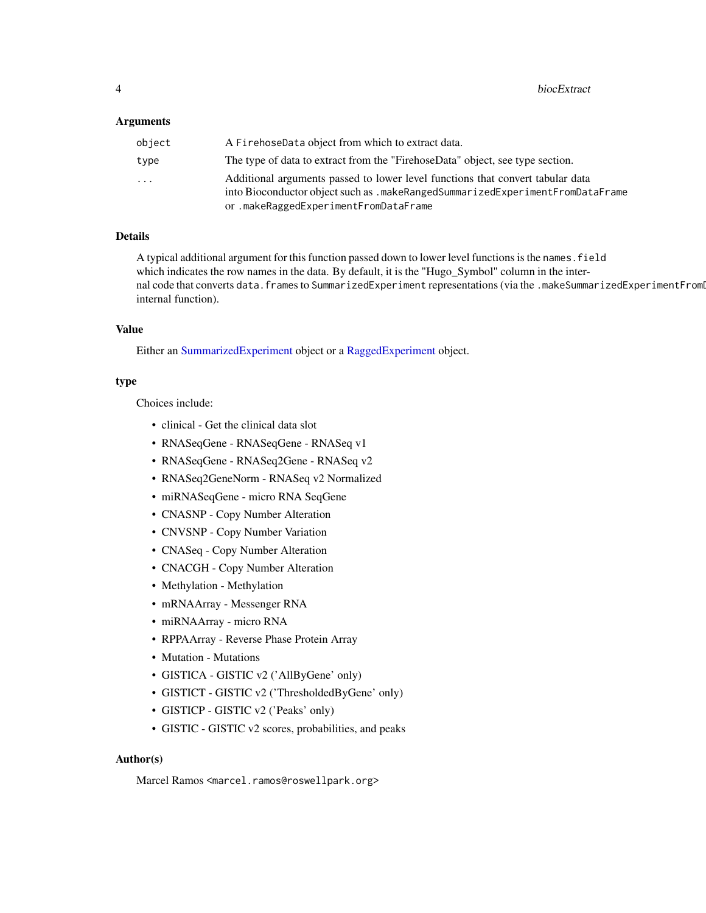#### <span id="page-3-0"></span>Arguments

| object | A FirehoseData object from which to extract data.                              |
|--------|--------------------------------------------------------------------------------|
| type   | The type of data to extract from the "FirehoseData" object, see type section.  |
| .      | Additional arguments passed to lower level functions that convert tabular data |
|        | into Bioconductor object such as .makeRangedSummarizedExperimentFromDataFrame  |
|        | or.makeRaggedExperimentFromDataFrame                                           |

#### Details

A typical additional argument for this function passed down to lower level functions is the names.field which indicates the row names in the data. By default, it is the "Hugo\_Symbol" column in the internal code that converts data.frames to SummarizedExperiment representations (via the .makeSummarizedExperimentFrom internal function).

#### Value

Either an [SummarizedExperiment](#page-0-0) object or a [RaggedExperiment](#page-0-0) object.

#### type

Choices include:

- clinical Get the clinical data slot
- RNASeqGene RNASeqGene RNASeq v1
- RNASeqGene RNASeq2Gene RNASeq v2
- RNASeq2GeneNorm RNASeq v2 Normalized
- miRNASeqGene micro RNA SeqGene
- CNASNP Copy Number Alteration
- CNVSNP Copy Number Variation
- CNASeq Copy Number Alteration
- CNACGH Copy Number Alteration
- Methylation Methylation
- mRNAArray Messenger RNA
- miRNAArray micro RNA
- RPPAArray Reverse Phase Protein Array
- Mutation Mutations
- GISTICA GISTIC v2 ('AllByGene' only)
- GISTICT GISTIC v2 ('ThresholdedByGene' only)
- GISTICP GISTIC v2 ('Peaks' only)
- GISTIC GISTIC v2 scores, probabilities, and peaks

#### Author(s)

Marcel Ramos <marcel.ramos@roswellpark.org>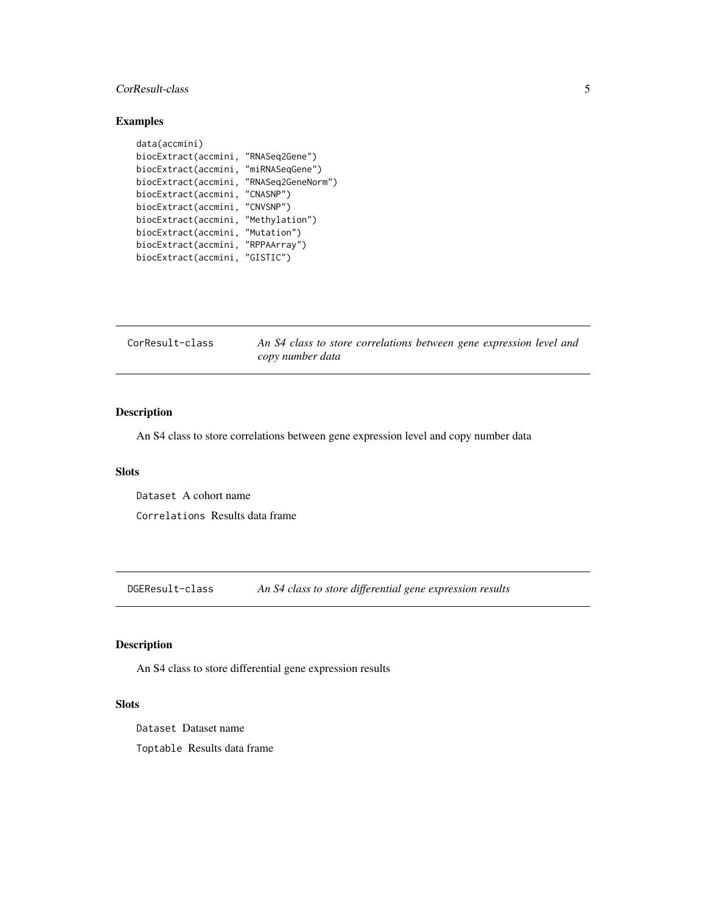#### <span id="page-4-0"></span>CorResult-class 5

#### Examples

```
data(accmini)
biocExtract(accmini, "RNASeq2Gene")
biocExtract(accmini, "miRNASeqGene")
biocExtract(accmini, "RNASeq2GeneNorm")
biocExtract(accmini, "CNASNP")
biocExtract(accmini, "CNVSNP")
biocExtract(accmini, "Methylation")
biocExtract(accmini, "Mutation")
biocExtract(accmini, "RPPAArray")
biocExtract(accmini, "GISTIC")
```
<span id="page-4-2"></span>

| CorResult-class | An S4 class to store correlations between gene expression level and |
|-----------------|---------------------------------------------------------------------|
|                 | copy number data                                                    |

#### Description

An S4 class to store correlations between gene expression level and copy number data

#### **Slots**

Dataset A cohort name

Correlations Results data frame

<span id="page-4-1"></span>DGEResult-class *An S4 class to store differential gene expression results*

#### Description

An S4 class to store differential gene expression results

#### Slots

Dataset Dataset name

Toptable Results data frame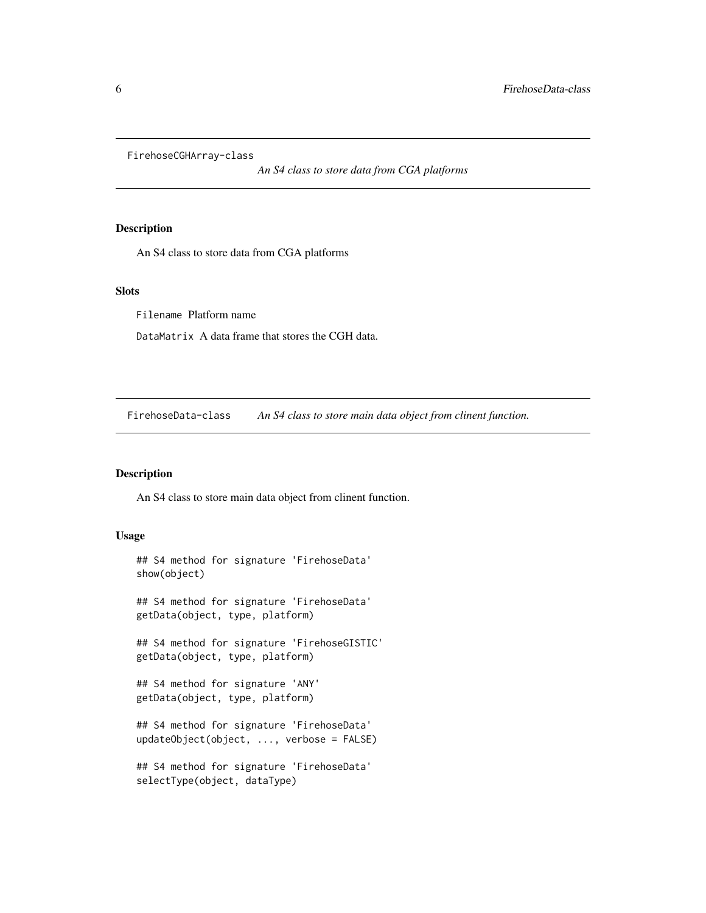<span id="page-5-0"></span>FirehoseCGHArray-class

*An S4 class to store data from CGA platforms*

#### Description

An S4 class to store data from CGA platforms

#### Slots

Filename Platform name

DataMatrix A data frame that stores the CGH data.

<span id="page-5-1"></span>FirehoseData-class *An S4 class to store main data object from clinent function.*

#### Description

An S4 class to store main data object from clinent function.

#### Usage

```
## S4 method for signature 'FirehoseData'
show(object)
## S4 method for signature 'FirehoseData'
getData(object, type, platform)
## S4 method for signature 'FirehoseGISTIC'
getData(object, type, platform)
## S4 method for signature 'ANY'
getData(object, type, platform)
## S4 method for signature 'FirehoseData'
updateObject(object, ..., verbose = FALSE)
## S4 method for signature 'FirehoseData'
selectType(object, dataType)
```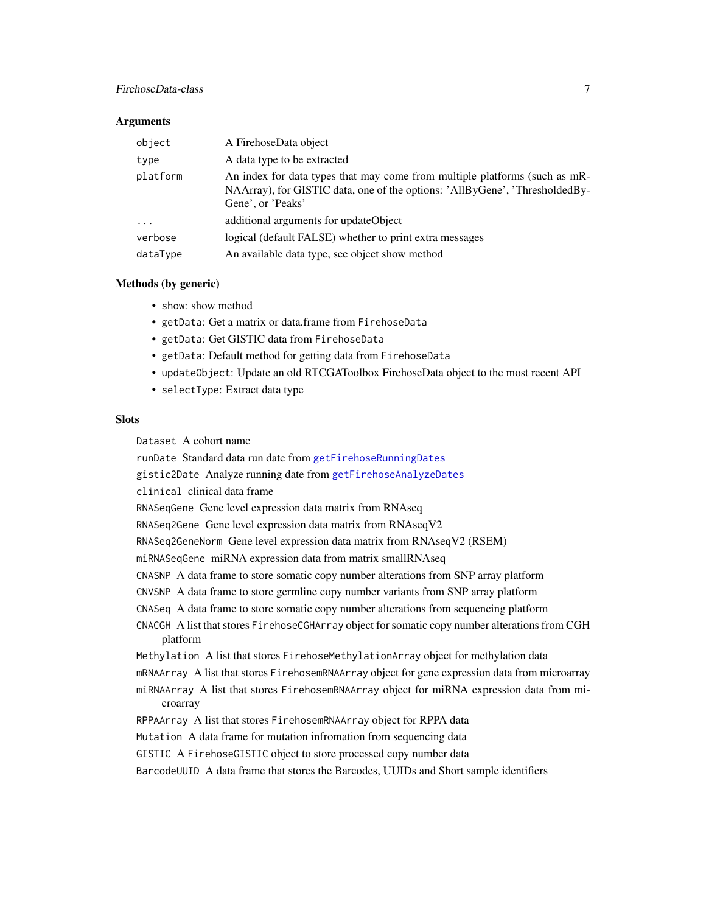#### <span id="page-6-0"></span>FirehoseData-class 7

#### **Arguments**

| object   | A FirehoseData object                                                                                                                                                          |
|----------|--------------------------------------------------------------------------------------------------------------------------------------------------------------------------------|
| type     | A data type to be extracted                                                                                                                                                    |
| platform | An index for data types that may come from multiple platforms (such as mR-<br>NAArray), for GISTIC data, one of the options: 'AllByGene', 'ThresholdedBy-<br>Gene', or 'Peaks' |
| .        | additional arguments for updateObject                                                                                                                                          |
| verbose  | logical (default FALSE) whether to print extra messages                                                                                                                        |
| dataType | An available data type, see object show method                                                                                                                                 |

#### Methods (by generic)

- show: show method
- getData: Get a matrix or data.frame from FirehoseData
- getData: Get GISTIC data from FirehoseData
- getData: Default method for getting data from FirehoseData
- updateObject: Update an old RTCGAToolbox FirehoseData object to the most recent API
- selectType: Extract data type

#### **Slots**

Dataset A cohort name

runDate Standard data run date from [getFirehoseRunningDates](#page-15-1) gistic2Date Analyze running date from [getFirehoseAnalyzeDates](#page-11-1) clinical clinical data frame RNASeqGene Gene level expression data matrix from RNAseq RNASeq2Gene Gene level expression data matrix from RNAseqV2 RNASeq2GeneNorm Gene level expression data matrix from RNAseqV2 (RSEM) miRNASeqGene miRNA expression data from matrix smallRNAseq CNASNP A data frame to store somatic copy number alterations from SNP array platform CNVSNP A data frame to store germline copy number variants from SNP array platform CNASeq A data frame to store somatic copy number alterations from sequencing platform CNACGH A list that stores FirehoseCGHArray object for somatic copy number alterations from CGH platform Methylation A list that stores FirehoseMethylationArray object for methylation data mRNAArray A list that stores FirehosemRNAArray object for gene expression data from microarray miRNAArray A list that stores FirehosemRNAArray object for miRNA expression data from microarray RPPAArray A list that stores FirehosemRNAArray object for RPPA data Mutation A data frame for mutation infromation from sequencing data GISTIC A FirehoseGISTIC object to store processed copy number data BarcodeUUID A data frame that stores the Barcodes, UUIDs and Short sample identifiers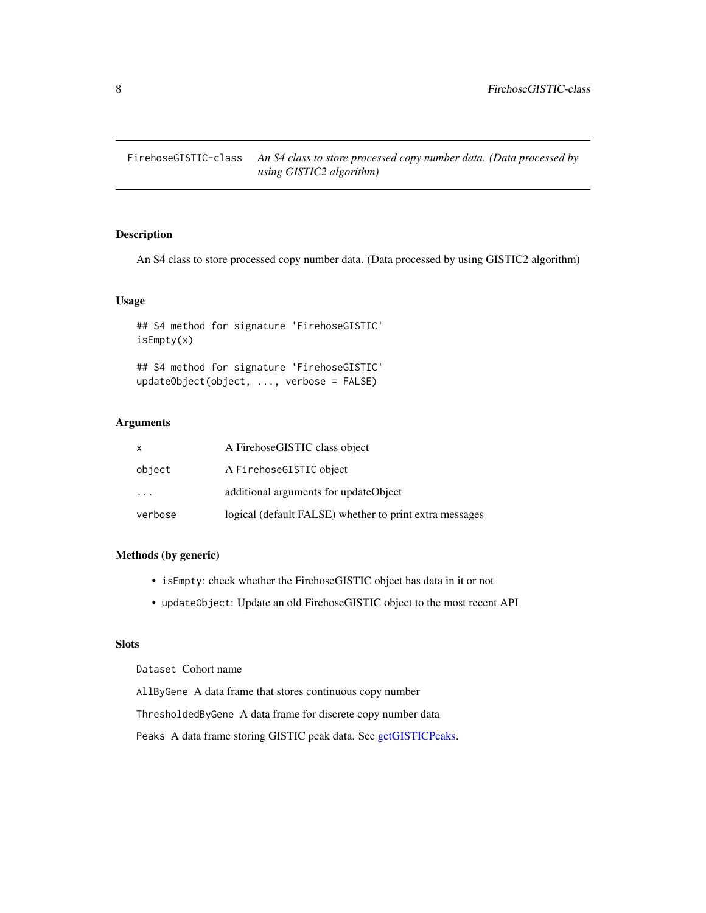<span id="page-7-1"></span><span id="page-7-0"></span>FirehoseGISTIC-class *An S4 class to store processed copy number data. (Data processed by using GISTIC2 algorithm)*

#### Description

An S4 class to store processed copy number data. (Data processed by using GISTIC2 algorithm)

#### Usage

## S4 method for signature 'FirehoseGISTIC' isEmpty(x)

## S4 method for signature 'FirehoseGISTIC' updateObject(object, ..., verbose = FALSE)

#### Arguments

| X                       | A FirehoseGISTIC class object                           |
|-------------------------|---------------------------------------------------------|
| object                  | A FirehoseGISTIC object                                 |
| $\cdot$ $\cdot$ $\cdot$ | additional arguments for updateObject                   |
| verbose                 | logical (default FALSE) whether to print extra messages |

#### Methods (by generic)

- isEmpty: check whether the FirehoseGISTIC object has data in it or not
- updateObject: Update an old FirehoseGISTIC object to the most recent API

#### Slots

Dataset Cohort name

AllByGene A data frame that stores continuous copy number

ThresholdedByGene A data frame for discrete copy number data

Peaks A data frame storing GISTIC peak data. See [getGISTICPeaks.](#page-15-2)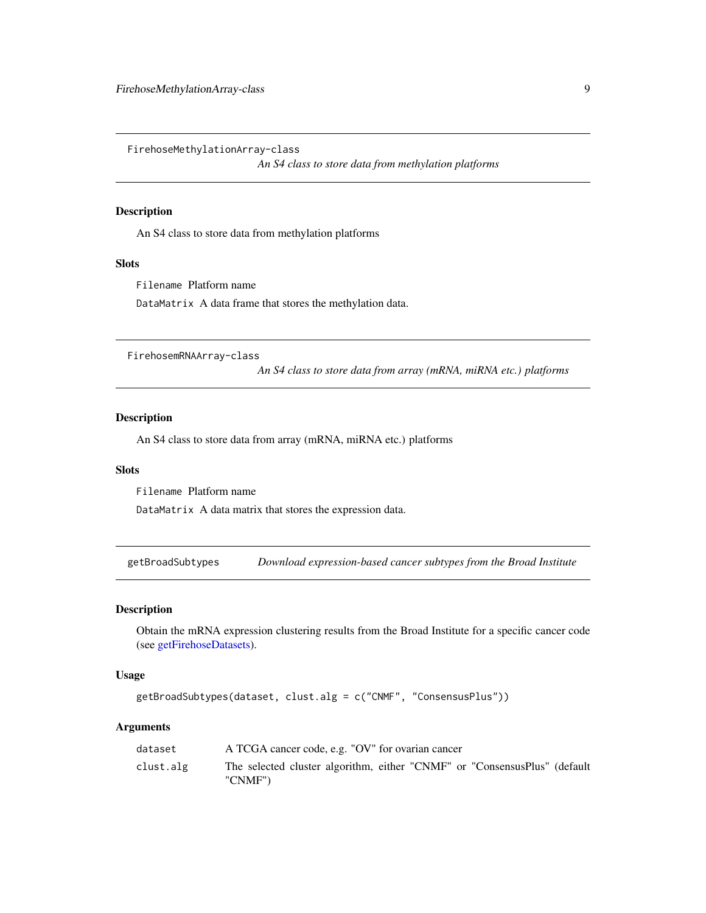<span id="page-8-0"></span>FirehoseMethylationArray-class

*An S4 class to store data from methylation platforms*

#### Description

An S4 class to store data from methylation platforms

#### Slots

Filename Platform name

DataMatrix A data frame that stores the methylation data.

FirehosemRNAArray-class

*An S4 class to store data from array (mRNA, miRNA etc.) platforms*

#### Description

An S4 class to store data from array (mRNA, miRNA etc.) platforms

#### Slots

Filename Platform name

DataMatrix A data matrix that stores the expression data.

getBroadSubtypes *Download expression-based cancer subtypes from the Broad Institute*

#### Description

Obtain the mRNA expression clustering results from the Broad Institute for a specific cancer code (see [getFirehoseDatasets\)](#page-14-1).

#### Usage

```
getBroadSubtypes(dataset, clust.alg = c("CNMF", "ConsensusPlus"))
```
#### Arguments

| dataset   | A TCGA cancer code, e.g. "OV" for ovarian cancer                                     |
|-----------|--------------------------------------------------------------------------------------|
| clust.alg | The selected cluster algorithm, either "CNMF" or "ConsensusPlus" (default<br>"CNMF") |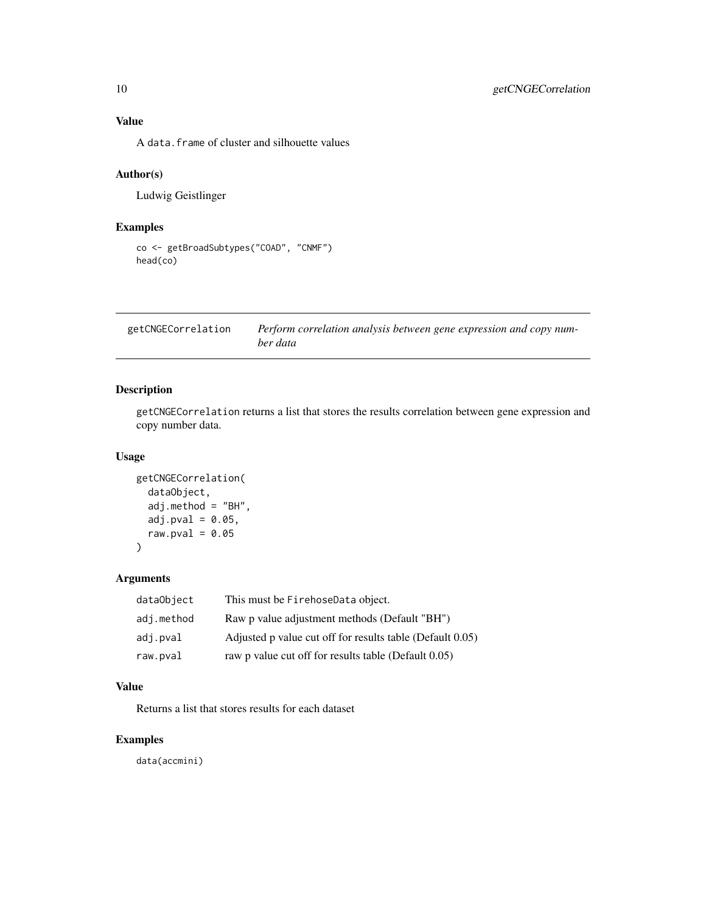#### <span id="page-9-0"></span>Value

A data.frame of cluster and silhouette values

#### Author(s)

Ludwig Geistlinger

#### Examples

```
co <- getBroadSubtypes("COAD", "CNMF")
head(co)
```

| getCNGECorrelation | Perform correlation analysis between gene expression and copy num- |
|--------------------|--------------------------------------------------------------------|
|                    | ber data                                                           |

#### Description

getCNGECorrelation returns a list that stores the results correlation between gene expression and copy number data.

#### Usage

```
getCNGECorrelation(
  dataObject,
  adj.method = "BH",
 adj.pval = 0.05,
 raw.pval = 0.05)
```
#### Arguments

| dataObject | This must be FirehoseData object.                         |
|------------|-----------------------------------------------------------|
| adj.method | Raw p value adjustment methods (Default "BH")             |
| adj.pval   | Adjusted p value cut off for results table (Default 0.05) |
| raw.pval   | raw p value cut off for results table (Default 0.05)      |

#### Value

Returns a list that stores results for each dataset

#### Examples

data(accmini)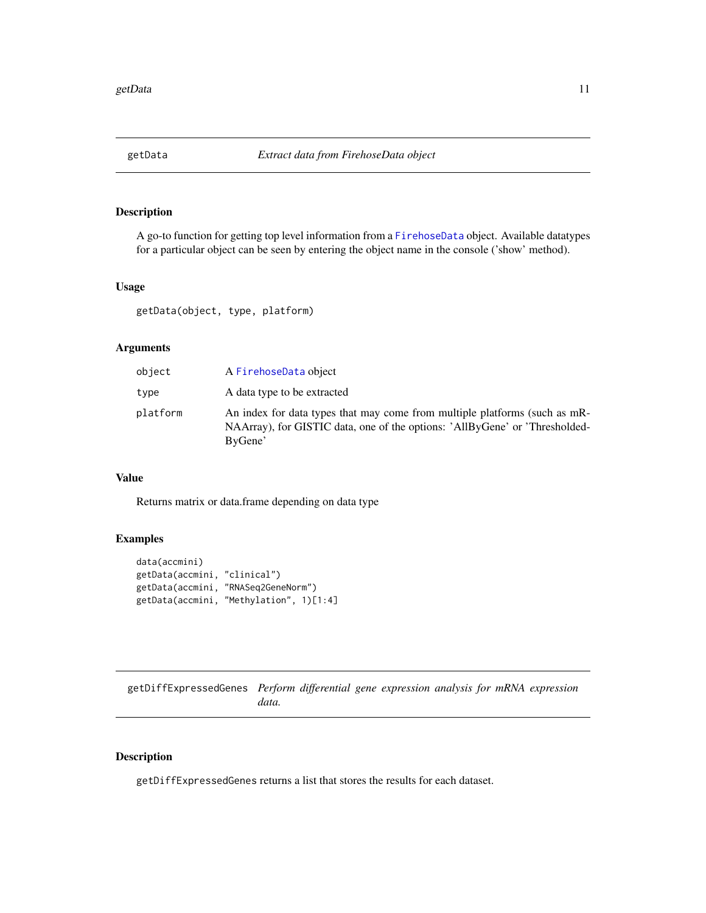<span id="page-10-0"></span>

#### Description

A go-to function for getting top level information from a [FirehoseData](#page-5-1) object. Available datatypes for a particular object can be seen by entering the object name in the console ('show' method).

#### Usage

getData(object, type, platform)

#### Arguments

| object   | A FirehoseData object                                                                                                                                                |
|----------|----------------------------------------------------------------------------------------------------------------------------------------------------------------------|
| type     | A data type to be extracted                                                                                                                                          |
| platform | An index for data types that may come from multiple platforms (such as mR-<br>NAArray), for GISTIC data, one of the options: 'AllByGene' or 'Thresholded-<br>ByGene' |

#### Value

Returns matrix or data.frame depending on data type

#### Examples

```
data(accmini)
getData(accmini, "clinical")
getData(accmini, "RNASeq2GeneNorm")
getData(accmini, "Methylation", 1)[1:4]
```
getDiffExpressedGenes *Perform differential gene expression analysis for mRNA expression data.*

#### Description

getDiffExpressedGenes returns a list that stores the results for each dataset.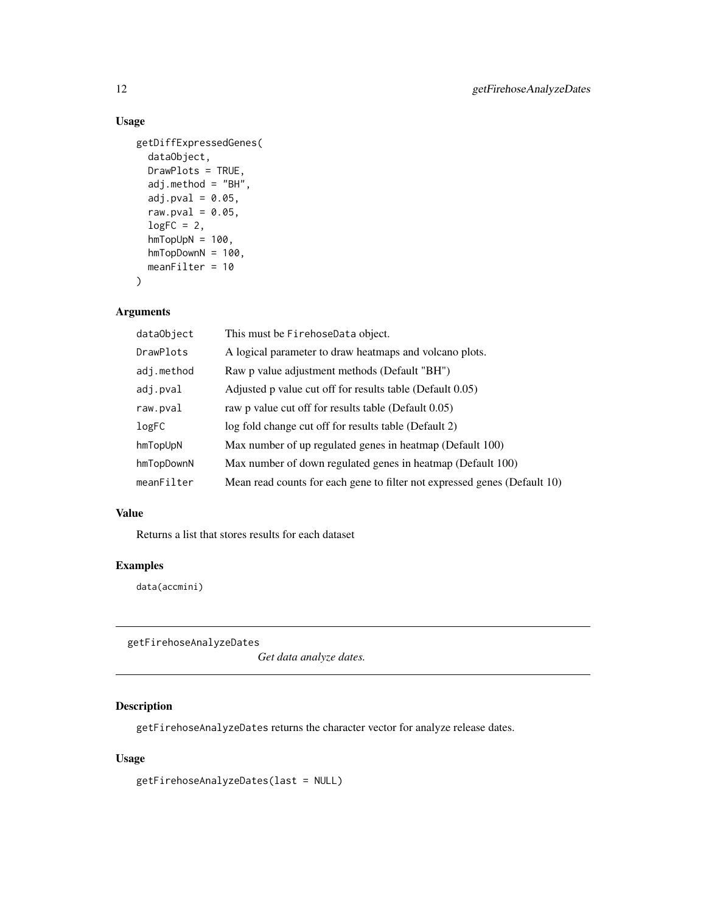#### <span id="page-11-0"></span>Usage

```
getDiffExpressedGenes(
 dataObject,
 DrawPlots = TRUE,
 adj.method = "BH",
  adj.pval = 0.05,
 raw.pval = 0.05,
 logFC = 2,
 hmTopUpN = 100,hmTopDownN = 100,
 meanFilter = 10
)
```
#### Arguments

| dataObject | This must be FirehoseData object.                                         |
|------------|---------------------------------------------------------------------------|
| DrawPlots  | A logical parameter to draw heatmaps and volcano plots.                   |
| adj.method | Raw p value adjustment methods (Default "BH")                             |
| adj.pval   | Adjusted p value cut off for results table (Default 0.05)                 |
| raw.pval   | raw p value cut off for results table (Default 0.05)                      |
| logFC      | log fold change cut off for results table (Default 2)                     |
| hmTopUpN   | Max number of up regulated genes in heatmap (Default 100)                 |
| hmTopDownN | Max number of down regulated genes in heatmap (Default 100)               |
| meanFilter | Mean read counts for each gene to filter not expressed genes (Default 10) |

#### Value

Returns a list that stores results for each dataset

#### Examples

data(accmini)

<span id="page-11-1"></span>getFirehoseAnalyzeDates

*Get data analyze dates.*

#### Description

getFirehoseAnalyzeDates returns the character vector for analyze release dates.

#### Usage

getFirehoseAnalyzeDates(last = NULL)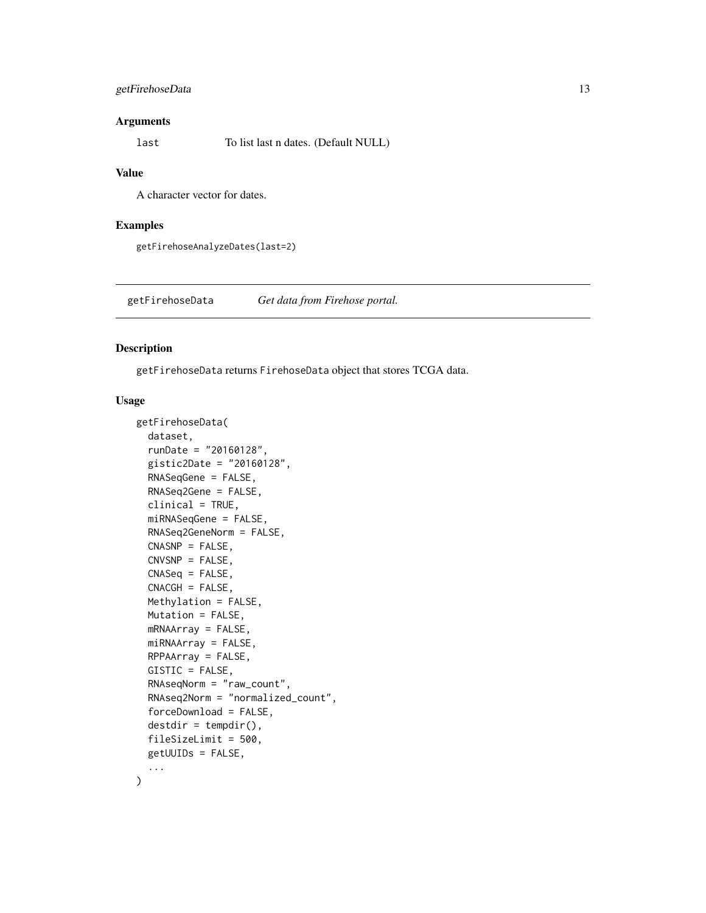#### <span id="page-12-0"></span>getFirehoseData 13

#### Arguments

last To list last n dates. (Default NULL)

#### Value

A character vector for dates.

#### Examples

getFirehoseAnalyzeDates(last=2)

<span id="page-12-1"></span>getFirehoseData *Get data from Firehose portal.*

#### Description

getFirehoseData returns FirehoseData object that stores TCGA data.

#### Usage

```
getFirehoseData(
  dataset,
  runDate = "20160128",
  gistic2Date = "20160128",
  RNASeqGene = FALSE,
  RNASeq2Gene = FALSE,
  clinical = TRUE,
  miRNASeqGene = FALSE,
  RNASeq2GeneNorm = FALSE,
  CNASNP = FALSE,
  CNVSNP = FALSE,
  CNASeq = FALSE,
  CNACGH = FALSE,Methylation = FALSE,
 Mutation = FALSE,
  mRNAArray = FALSE,
 miRNAArray = FALSE,
  RPPAArray = FALSE,
  GISTIC = FALSE,
  RNAseqNorm = "raw_count",
  RNAseq2Norm = "normalized_count",
  forceDownload = FALSE,
  destdir = tempdir(),fileSizeLimit = 500,
  getUUIDs = FALSE,
  ...
\mathcal{L}
```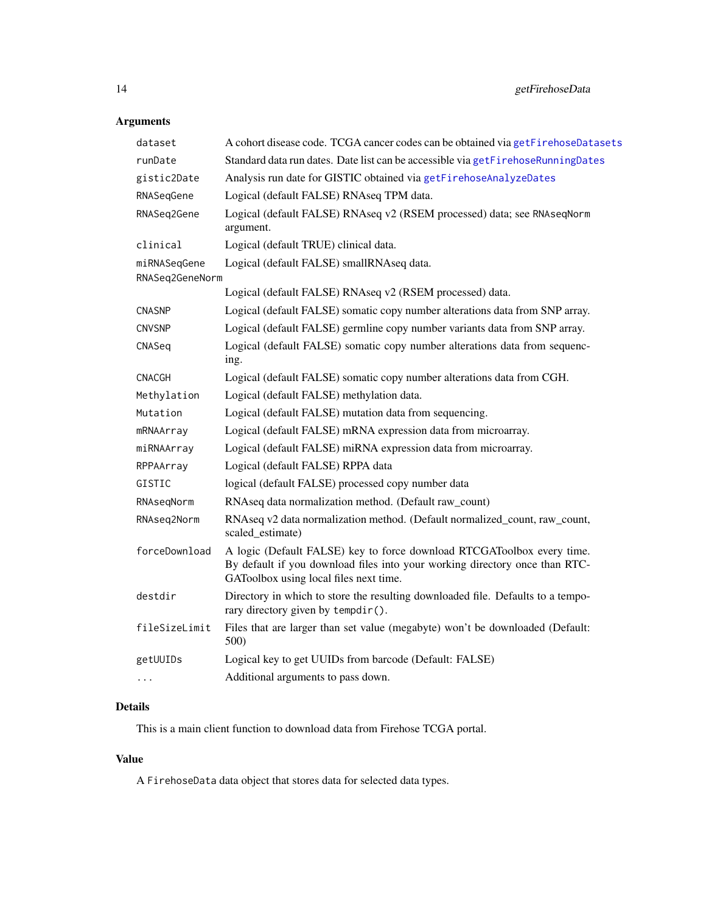### <span id="page-13-0"></span>Arguments

| dataset                         | A cohort disease code. TCGA cancer codes can be obtained via getFirehoseDatasets                                                                                                                |
|---------------------------------|-------------------------------------------------------------------------------------------------------------------------------------------------------------------------------------------------|
| runDate                         | Standard data run dates. Date list can be accessible via getFirehoseRunningDates                                                                                                                |
| gistic2Date                     | Analysis run date for GISTIC obtained via getFirehoseAnalyzeDates                                                                                                                               |
| RNASegGene                      | Logical (default FALSE) RNAseq TPM data.                                                                                                                                                        |
| RNASeq2Gene                     | Logical (default FALSE) RNAseq v2 (RSEM processed) data; see RNAseqNorm<br>argument.                                                                                                            |
| clinical                        | Logical (default TRUE) clinical data.                                                                                                                                                           |
| miRNASeqGene<br>RNASeq2GeneNorm | Logical (default FALSE) smallRNAseq data.                                                                                                                                                       |
|                                 | Logical (default FALSE) RNAseq v2 (RSEM processed) data.                                                                                                                                        |
| <b>CNASNP</b>                   | Logical (default FALSE) somatic copy number alterations data from SNP array.                                                                                                                    |
| <b>CNVSNP</b>                   | Logical (default FALSE) germline copy number variants data from SNP array.                                                                                                                      |
| CNASeq                          | Logical (default FALSE) somatic copy number alterations data from sequenc-<br>ing.                                                                                                              |
| CNACGH                          | Logical (default FALSE) somatic copy number alterations data from CGH.                                                                                                                          |
| Methylation                     | Logical (default FALSE) methylation data.                                                                                                                                                       |
| Mutation                        | Logical (default FALSE) mutation data from sequencing.                                                                                                                                          |
| mRNAArray                       | Logical (default FALSE) mRNA expression data from microarray.                                                                                                                                   |
| miRNAArray                      | Logical (default FALSE) miRNA expression data from microarray.                                                                                                                                  |
| RPPAArray                       | Logical (default FALSE) RPPA data                                                                                                                                                               |
| GISTIC                          | logical (default FALSE) processed copy number data                                                                                                                                              |
| RNAseqNorm                      | RNAseq data normalization method. (Default raw_count)                                                                                                                                           |
| RNAseq2Norm                     | RNAseq v2 data normalization method. (Default normalized_count, raw_count,<br>scaled_estimate)                                                                                                  |
| forceDownload                   | A logic (Default FALSE) key to force download RTCGAToolbox every time.<br>By default if you download files into your working directory once than RTC-<br>GAToolbox using local files next time. |
| destdir                         | Directory in which to store the resulting downloaded file. Defaults to a tempo-<br>rary directory given by tempdir().                                                                           |
| fileSizeLimit                   | Files that are larger than set value (megabyte) won't be downloaded (Default:<br>500)                                                                                                           |
| getUUIDs                        | Logical key to get UUIDs from barcode (Default: FALSE)                                                                                                                                          |
| $\cdots$                        | Additional arguments to pass down.                                                                                                                                                              |
|                                 |                                                                                                                                                                                                 |

#### Details

This is a main client function to download data from Firehose TCGA portal.

#### Value

A FirehoseData data object that stores data for selected data types.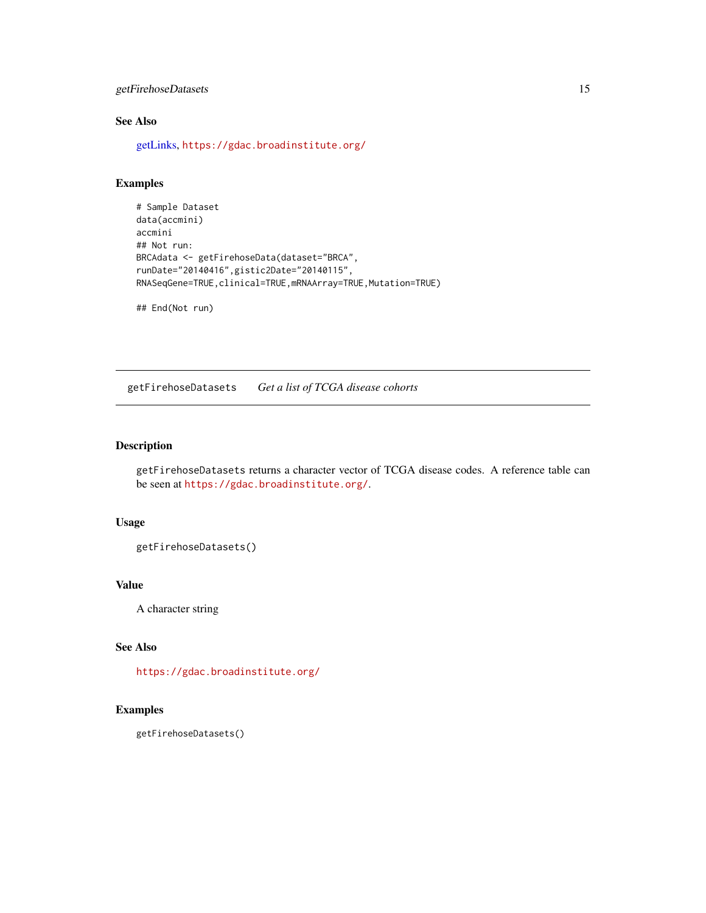#### <span id="page-14-0"></span>getFirehoseDatasets 15

#### See Also

[getLinks,](#page-16-1) <https://gdac.broadinstitute.org/>

#### Examples

```
# Sample Dataset
data(accmini)
accmini
## Not run:
BRCAdata <- getFirehoseData(dataset="BRCA",
runDate="20140416",gistic2Date="20140115",
RNASeqGene=TRUE,clinical=TRUE,mRNAArray=TRUE,Mutation=TRUE)
```
## End(Not run)

<span id="page-14-1"></span>getFirehoseDatasets *Get a list of TCGA disease cohorts*

#### Description

getFirehoseDatasets returns a character vector of TCGA disease codes. A reference table can be seen at <https://gdac.broadinstitute.org/>.

#### Usage

```
getFirehoseDatasets()
```
#### Value

A character string

#### See Also

<https://gdac.broadinstitute.org/>

#### Examples

getFirehoseDatasets()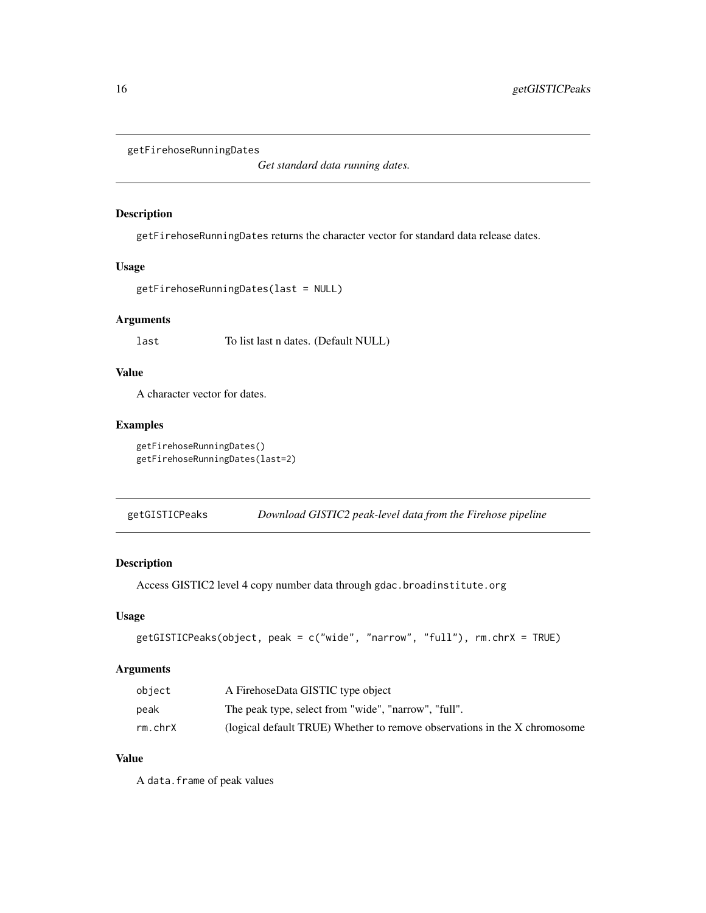```
getFirehoseRunningDates
```
*Get standard data running dates.*

#### Description

getFirehoseRunningDates returns the character vector for standard data release dates.

#### Usage

```
getFirehoseRunningDates(last = NULL)
```
#### Arguments

last To list last n dates. (Default NULL)

#### Value

A character vector for dates.

#### Examples

```
getFirehoseRunningDates()
getFirehoseRunningDates(last=2)
```
<span id="page-15-2"></span>getGISTICPeaks *Download GISTIC2 peak-level data from the Firehose pipeline*

#### Description

Access GISTIC2 level 4 copy number data through gdac.broadinstitute.org

#### Usage

```
getGISTICPeaks(object, peak = c("wide", "narrow", "full"), rm.chrX = TRUE)
```
#### Arguments

| object  | A FirehoseData GISTIC type object                                         |
|---------|---------------------------------------------------------------------------|
| peak    | The peak type, select from "wide", "narrow", "full".                      |
| rm.chrX | (logical default TRUE) Whether to remove observations in the X chromosome |

#### Value

A data.frame of peak values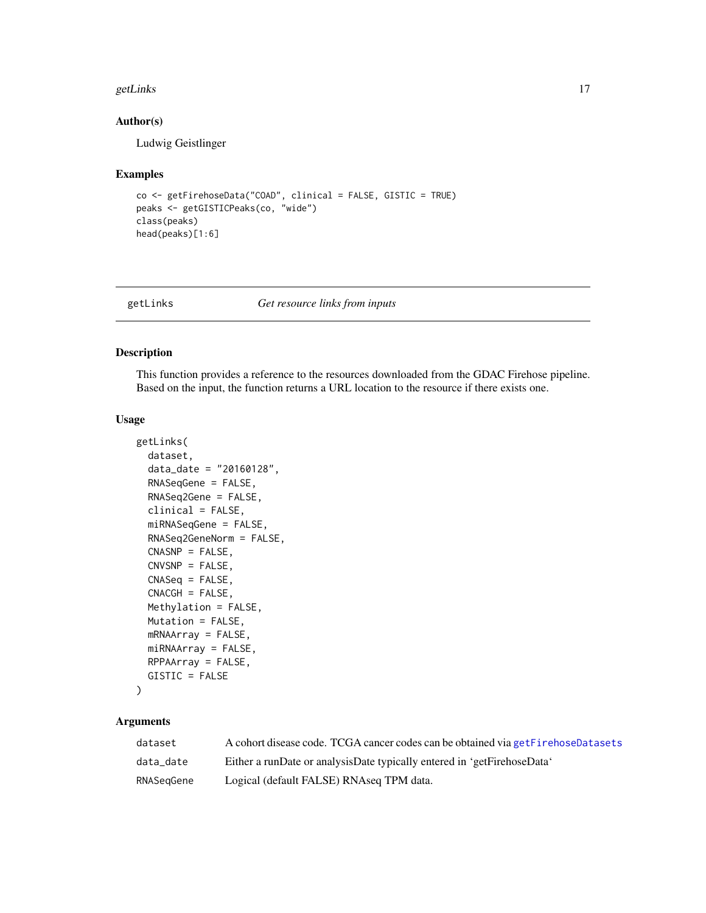#### <span id="page-16-0"></span>getLinks and the set of the set of the set of the set of the set of the set of the set of the set of the set of the set of the set of the set of the set of the set of the set of the set of the set of the set of the set of

#### Author(s)

Ludwig Geistlinger

#### Examples

```
co <- getFirehoseData("COAD", clinical = FALSE, GISTIC = TRUE)
peaks <- getGISTICPeaks(co, "wide")
class(peaks)
head(peaks)[1:6]
```
<span id="page-16-1"></span>

#### getLinks *Get resource links from inputs*

#### Description

This function provides a reference to the resources downloaded from the GDAC Firehose pipeline. Based on the input, the function returns a URL location to the resource if there exists one.

#### Usage

```
getLinks(
  dataset,
  data_date = "20160128",
 RNASeqGene = FALSE,
 RNASeq2Gene = FALSE,
  clinical = FALSE,
 miRNASeqGene = FALSE,
 RNASeq2GeneNorm = FALSE,
 CNASNP = FALSE,CNVSNP = FALSE,CNASeq = FALSE,CNACGH = FALSE,Methylation = FALSE,
 Mutation = FALSE,
 mRNAArray = FALSE,
 miRNAArray = FALSE,
 RPPAArray = FALSE,
  GISTIC = FALSE
```
#### )

#### Arguments

| dataset    | A cohort disease code. TCGA cancer codes can be obtained via get Firehose Datasets |
|------------|------------------------------------------------------------------------------------|
| data date  | Either a runDate or analysisDate typically entered in 'getFirehoseData'            |
| RNASeaGene | Logical (default FALSE) RNAseq TPM data.                                           |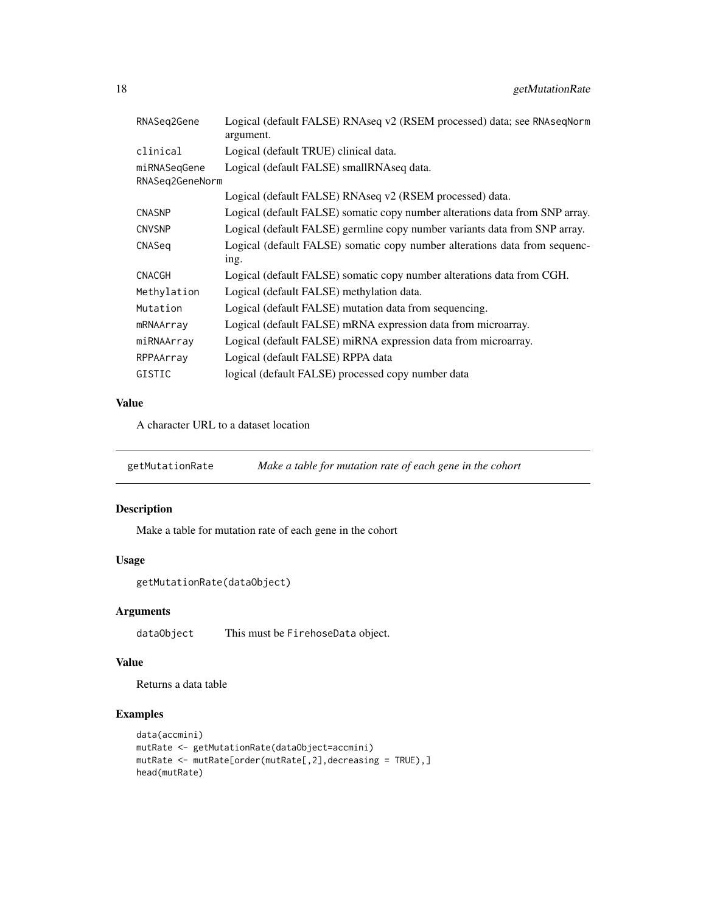<span id="page-17-0"></span>

| RNASeq2Gene     | Logical (default FALSE) RNAseq v2 (RSEM processed) data; see RNAseqNorm<br>argument. |
|-----------------|--------------------------------------------------------------------------------------|
| clinical        | Logical (default TRUE) clinical data.                                                |
| miRNASeqGene    | Logical (default FALSE) smallRNAseq data.                                            |
| RNASeq2GeneNorm |                                                                                      |
|                 | Logical (default FALSE) RNAseq v2 (RSEM processed) data.                             |
| <b>CNASNP</b>   | Logical (default FALSE) somatic copy number alterations data from SNP array.         |
| CNVSNP          | Logical (default FALSE) germline copy number variants data from SNP array.           |
| CNASeq          | Logical (default FALSE) somatic copy number alterations data from sequenc-           |
|                 | ing.                                                                                 |
| CNACGH          | Logical (default FALSE) somatic copy number alterations data from CGH.               |
| Methylation     | Logical (default FALSE) methylation data.                                            |
| Mutation        | Logical (default FALSE) mutation data from sequencing.                               |
| mRNAArray       | Logical (default FALSE) mRNA expression data from microarray.                        |
| miRNAArray      | Logical (default FALSE) miRNA expression data from microarray.                       |
| RPPAArray       | Logical (default FALSE) RPPA data                                                    |
| GISTIC          | logical (default FALSE) processed copy number data                                   |

#### Value

A character URL to a dataset location

getMutationRate *Make a table for mutation rate of each gene in the cohort*

#### Description

Make a table for mutation rate of each gene in the cohort

#### Usage

```
getMutationRate(dataObject)
```
#### Arguments

dataObject This must be FirehoseData object.

#### Value

Returns a data table

#### Examples

```
data(accmini)
mutRate <- getMutationRate(dataObject=accmini)
mutRate <- mutRate[order(mutRate[,2],decreasing = TRUE),]
head(mutRate)
```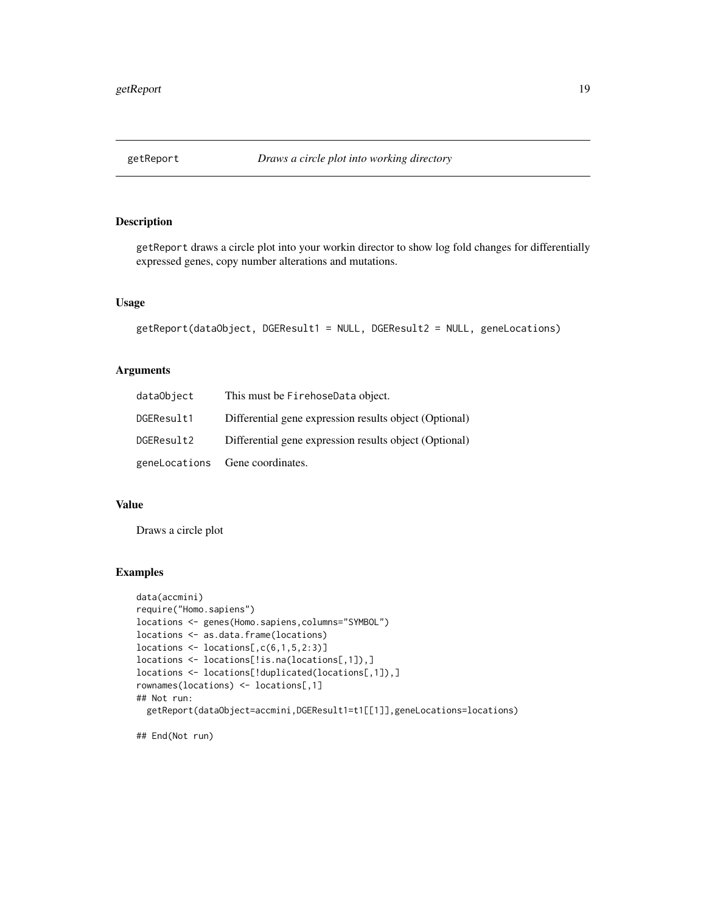<span id="page-18-0"></span>

#### Description

getReport draws a circle plot into your workin director to show log fold changes for differentially expressed genes, copy number alterations and mutations.

#### Usage

```
getReport(dataObject, DGEResult1 = NULL, DGEResult2 = NULL, geneLocations)
```
#### Arguments

| dataObject | This must be FirehoseData object.                      |
|------------|--------------------------------------------------------|
| DGEResult1 | Differential gene expression results object (Optional) |
| DGEResult2 | Differential gene expression results object (Optional) |
|            | geneLocations Gene coordinates.                        |

#### Value

Draws a circle plot

#### Examples

```
data(accmini)
require("Homo.sapiens")
locations <- genes(Homo.sapiens,columns="SYMBOL")
locations <- as.data.frame(locations)
locations <- locations[,c(6,1,5,2:3)]
locations <- locations[!is.na(locations[,1]),]
locations <- locations[!duplicated(locations[,1]),]
rownames(locations) <- locations[,1]
## Not run:
  getReport(dataObject=accmini,DGEResult1=t1[[1]],geneLocations=locations)
```
## End(Not run)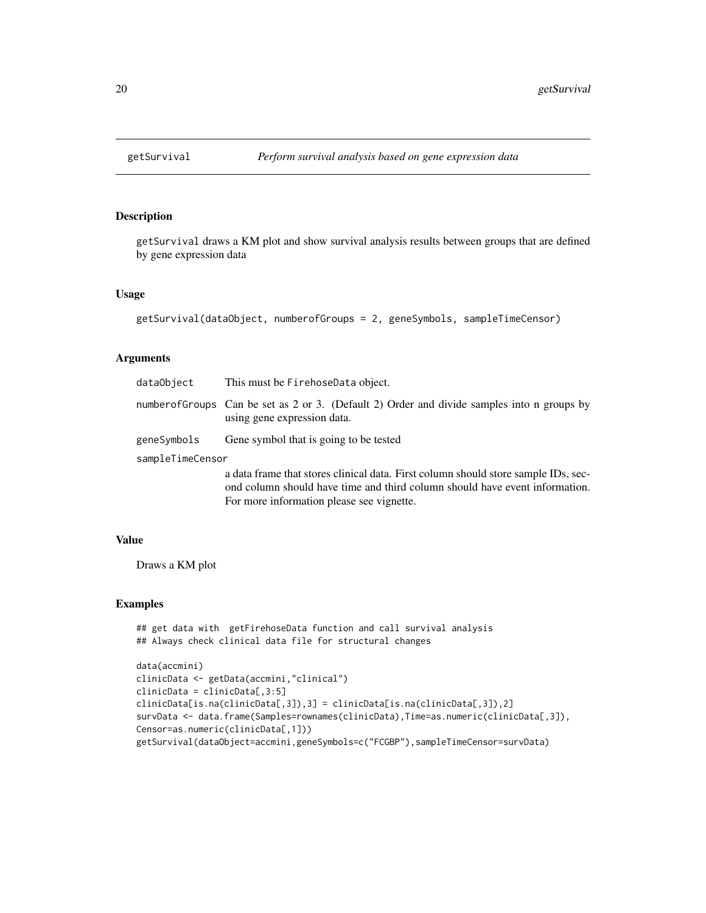#### Description

getSurvival draws a KM plot and show survival analysis results between groups that are defined by gene expression data

#### Usage

```
getSurvival(dataObject, numberofGroups = 2, geneSymbols, sampleTimeCensor)
```
#### Arguments

| dataObject       | This must be FirehoseData object.                                                                                                                                                                              |  |
|------------------|----------------------------------------------------------------------------------------------------------------------------------------------------------------------------------------------------------------|--|
|                  | number of Groups Can be set as 2 or 3. (Default 2) Order and divide samples into n groups by<br>using gene expression data.                                                                                    |  |
| geneSymbols      | Gene symbol that is going to be tested                                                                                                                                                                         |  |
| sampleTimeCensor |                                                                                                                                                                                                                |  |
|                  | a data frame that stores clinical data. First column should store sample IDs, sec-<br>ond column should have time and third column should have event information.<br>For more information please see vignette. |  |

#### Value

Draws a KM plot

#### Examples

```
## get data with getFirehoseData function and call survival analysis
## Always check clinical data file for structural changes
```

```
data(accmini)
clinicData <- getData(accmini,"clinical")
clinicData = clinicData[,3:5]
clinicData[is.na(clinicData[,3]),3] = clinicData[is.na(clinicData[,3]),2]
survData <- data.frame(Samples=rownames(clinicData),Time=as.numeric(clinicData[,3]),
Censor=as.numeric(clinicData[,1]))
getSurvival(dataObject=accmini,geneSymbols=c("FCGBP"),sampleTimeCensor=survData)
```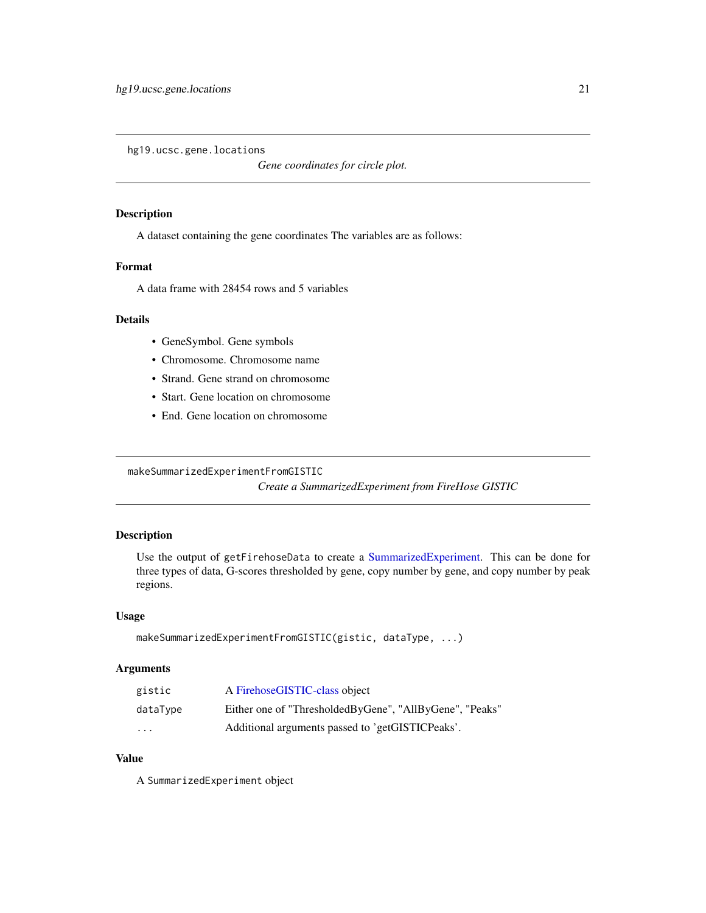<span id="page-20-0"></span>hg19.ucsc.gene.locations

*Gene coordinates for circle plot.*

#### Description

A dataset containing the gene coordinates The variables are as follows:

#### Format

A data frame with 28454 rows and 5 variables

#### Details

- GeneSymbol. Gene symbols
- Chromosome. Chromosome name
- Strand. Gene strand on chromosome
- Start. Gene location on chromosome
- End. Gene location on chromosome

makeSummarizedExperimentFromGISTIC

*Create a SummarizedExperiment from FireHose GISTIC*

#### Description

Use the output of getFirehoseData to create a [SummarizedExperiment.](#page-0-0) This can be done for three types of data, G-scores thresholded by gene, copy number by gene, and copy number by peak regions.

#### Usage

```
makeSummarizedExperimentFromGISTIC(gistic, dataType, ...)
```
#### Arguments

| gistic   | A FirehoseGISTIC-class object                           |
|----------|---------------------------------------------------------|
| dataType | Either one of "ThresholdedByGene", "AllByGene", "Peaks" |
| $\cdots$ | Additional arguments passed to 'getGISTICPeaks'.        |

#### Value

A SummarizedExperiment object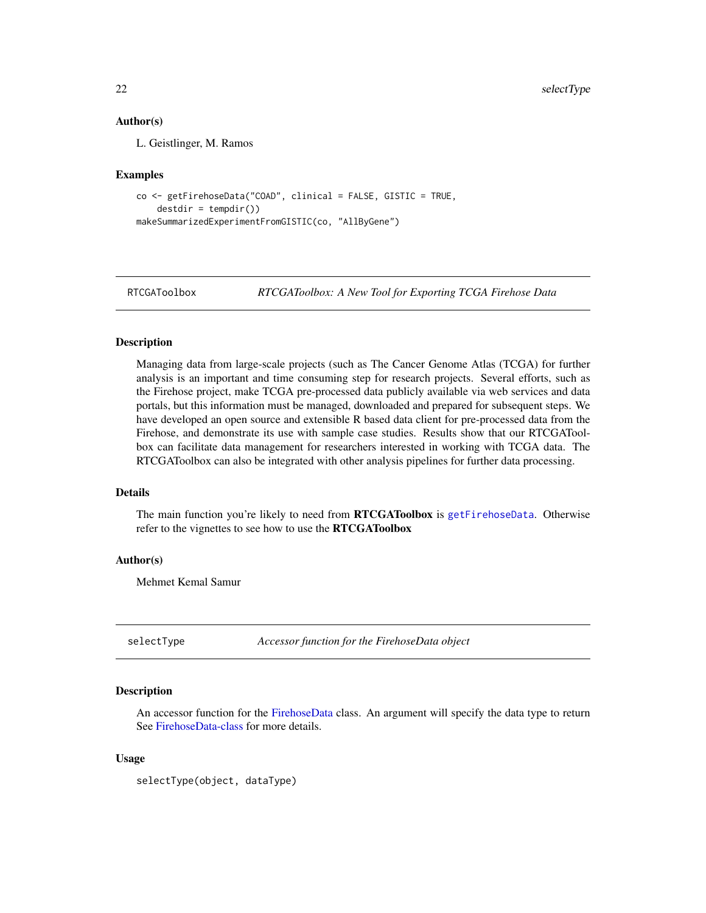#### <span id="page-21-0"></span>Author(s)

L. Geistlinger, M. Ramos

#### Examples

```
co <- getFirehoseData("COAD", clinical = FALSE, GISTIC = TRUE,
    destdir = tempdir()makeSummarizedExperimentFromGISTIC(co, "AllByGene")
```
RTCGAToolbox *RTCGAToolbox: A New Tool for Exporting TCGA Firehose Data*

#### **Description**

Managing data from large-scale projects (such as The Cancer Genome Atlas (TCGA) for further analysis is an important and time consuming step for research projects. Several efforts, such as the Firehose project, make TCGA pre-processed data publicly available via web services and data portals, but this information must be managed, downloaded and prepared for subsequent steps. We have developed an open source and extensible R based data client for pre-processed data from the Firehose, and demonstrate its use with sample case studies. Results show that our RTCGAToolbox can facilitate data management for researchers interested in working with TCGA data. The RTCGAToolbox can also be integrated with other analysis pipelines for further data processing.

#### Details

The main function you're likely to need from **RTCGAToolbox** is [getFirehoseData](#page-12-1). Otherwise refer to the vignettes to see how to use the RTCGAToolbox

#### Author(s)

Mehmet Kemal Samur

selectType *Accessor function for the FirehoseData object*

#### Description

An accessor function for the [FirehoseData](#page-5-1) class. An argument will specify the data type to return See [FirehoseData-class](#page-5-1) for more details.

#### Usage

selectType(object, dataType)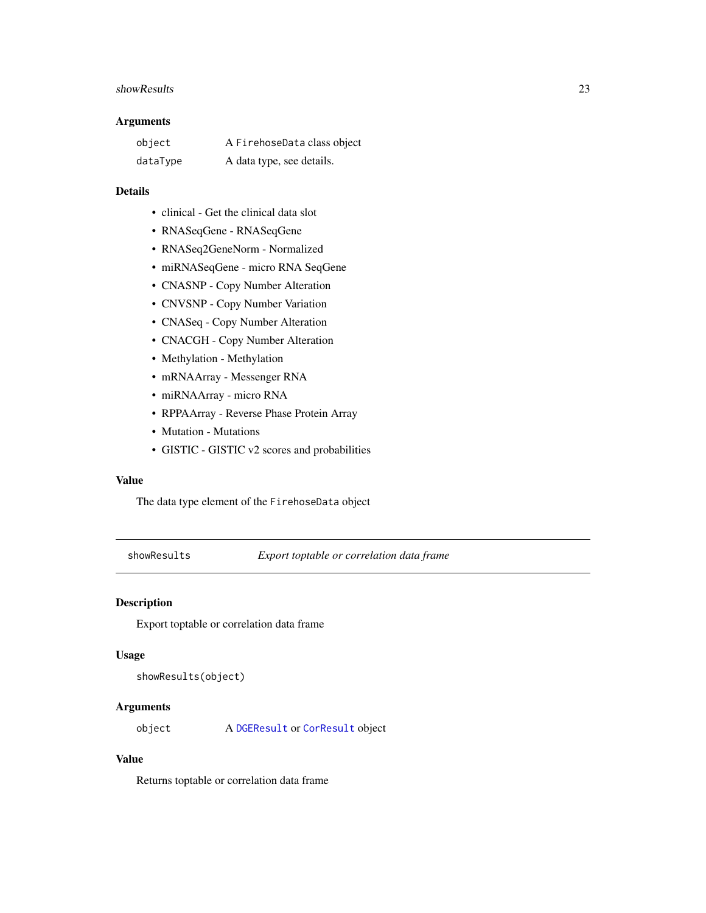#### <span id="page-22-0"></span>showResults 23

#### Arguments

| object   | A FirehoseData class object |
|----------|-----------------------------|
| dataType | A data type, see details.   |

#### Details

- clinical Get the clinical data slot
- RNASeqGene RNASeqGene
- RNASeq2GeneNorm Normalized
- miRNASeqGene micro RNA SeqGene
- CNASNP Copy Number Alteration
- CNVSNP Copy Number Variation
- CNASeq Copy Number Alteration
- CNACGH Copy Number Alteration
- Methylation Methylation
- mRNAArray Messenger RNA
- miRNAArray micro RNA
- RPPAArray Reverse Phase Protein Array
- Mutation Mutations
- GISTIC GISTIC v2 scores and probabilities

#### Value

The data type element of the FirehoseData object

showResults *Export toptable or correlation data frame*

#### Description

Export toptable or correlation data frame

#### Usage

showResults(object)

#### Arguments

object A [DGEResult](#page-4-1) or [CorResult](#page-4-2) object

#### Value

Returns toptable or correlation data frame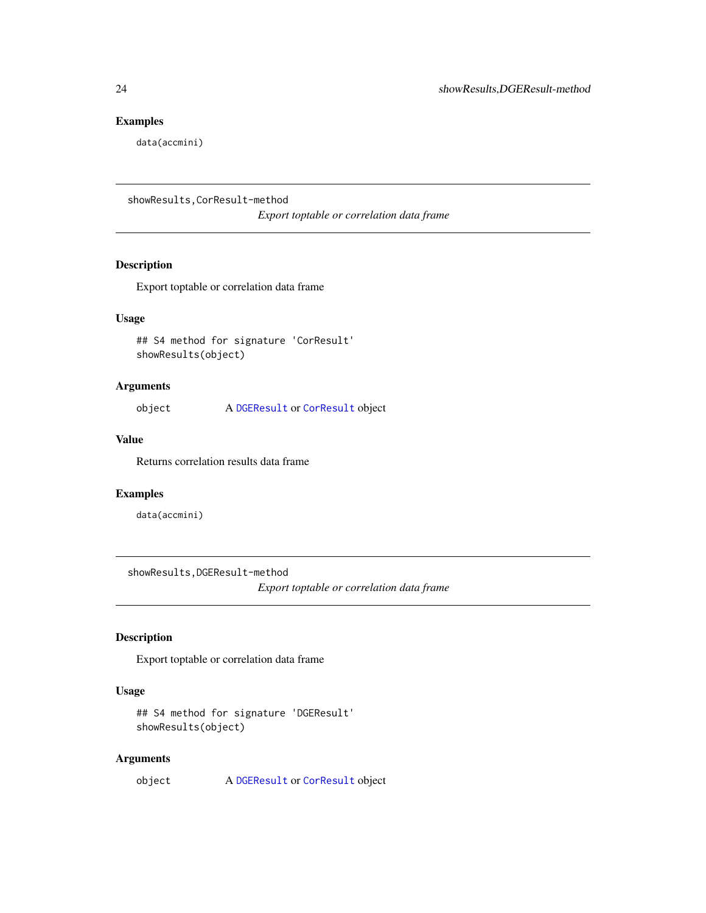#### Examples

data(accmini)

showResults,CorResult-method

*Export toptable or correlation data frame*

#### Description

Export toptable or correlation data frame

#### Usage

## S4 method for signature 'CorResult' showResults(object)

#### Arguments

object A [DGEResult](#page-4-1) or [CorResult](#page-4-2) object

#### Value

Returns correlation results data frame

#### Examples

data(accmini)

showResults,DGEResult-method

*Export toptable or correlation data frame*

#### Description

Export toptable or correlation data frame

#### Usage

```
## S4 method for signature 'DGEResult'
showResults(object)
```
#### Arguments

object A [DGEResult](#page-4-1) or [CorResult](#page-4-2) object

<span id="page-23-0"></span>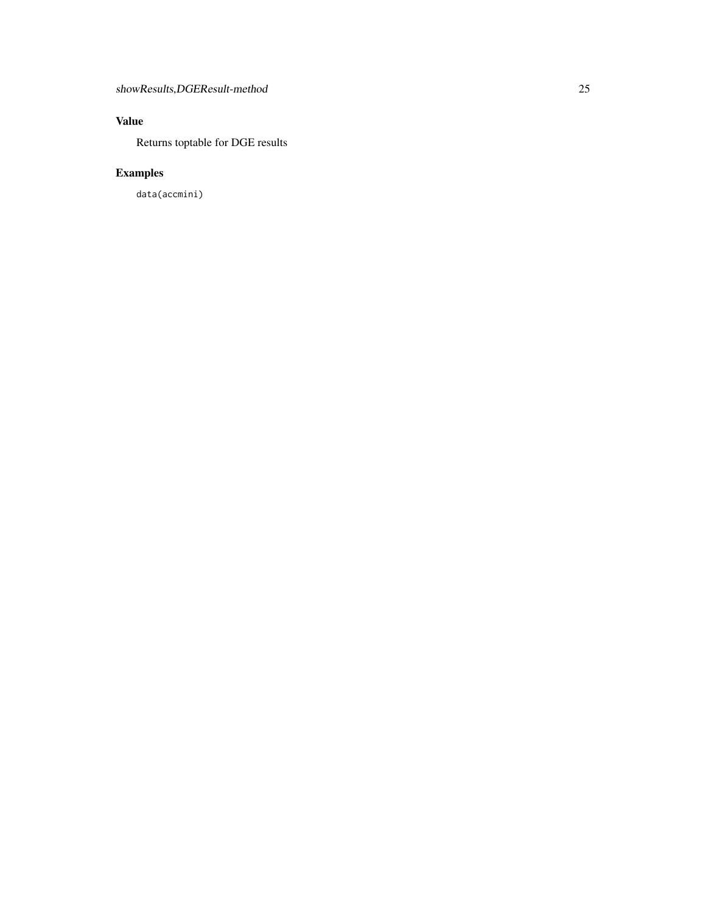### Value

Returns toptable for DGE results

## Examples

data(accmini)